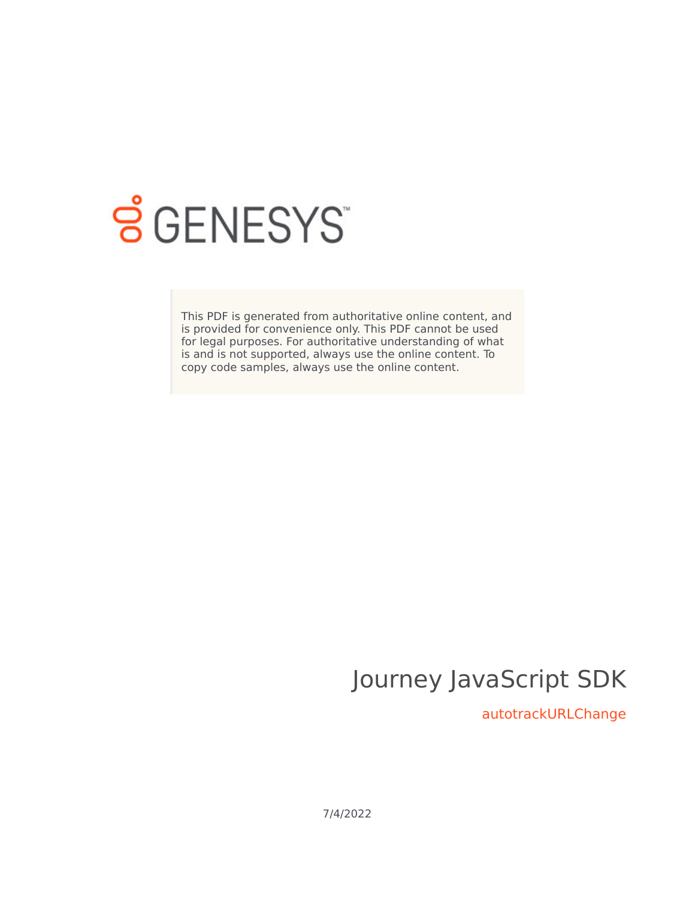

# **SGENESYS**

This PDF is generated from authoritative online content, and is provided for convenience only. This PDF cannot be used for legal purposes. For authoritative understanding of what is and is not supported, always use the online content. To copy code samples, always use the online content.

## Journey JavaScript SDK

autotrackURLChange

7/4/2022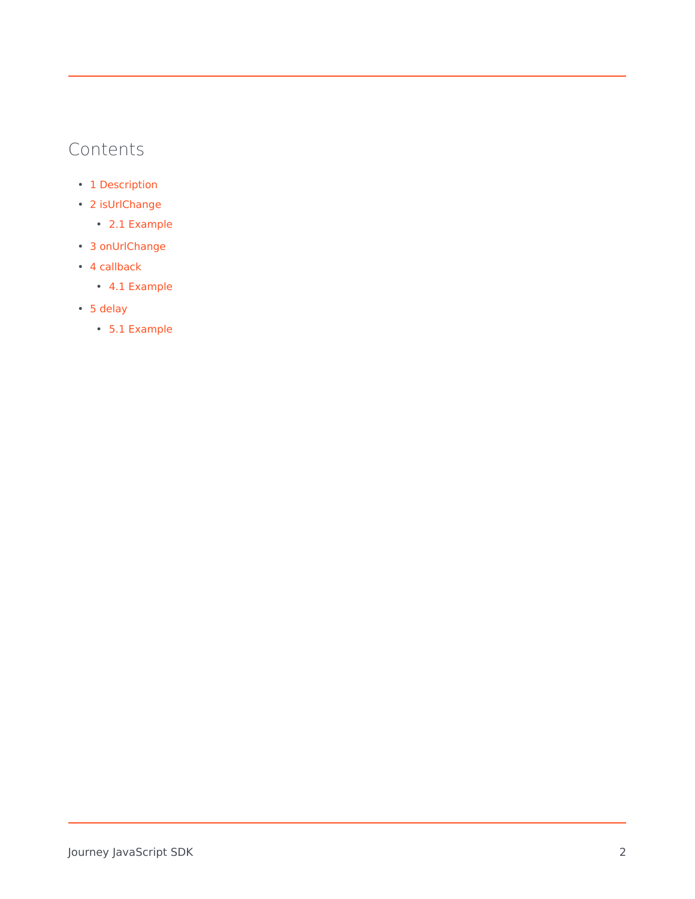## Contents

- 1 [Description](#page-2-0)
- 2 [isUrlChange](#page-2-1)
	- 2.1 [Example](#page-3-0)
- 3 [onUrlChange](#page-3-1)
- 4 [callback](#page-4-0)
	- 4.1 [Example](#page-4-1)
- 5 [delay](#page-4-2)
	- 5.1 [Example](#page-4-3)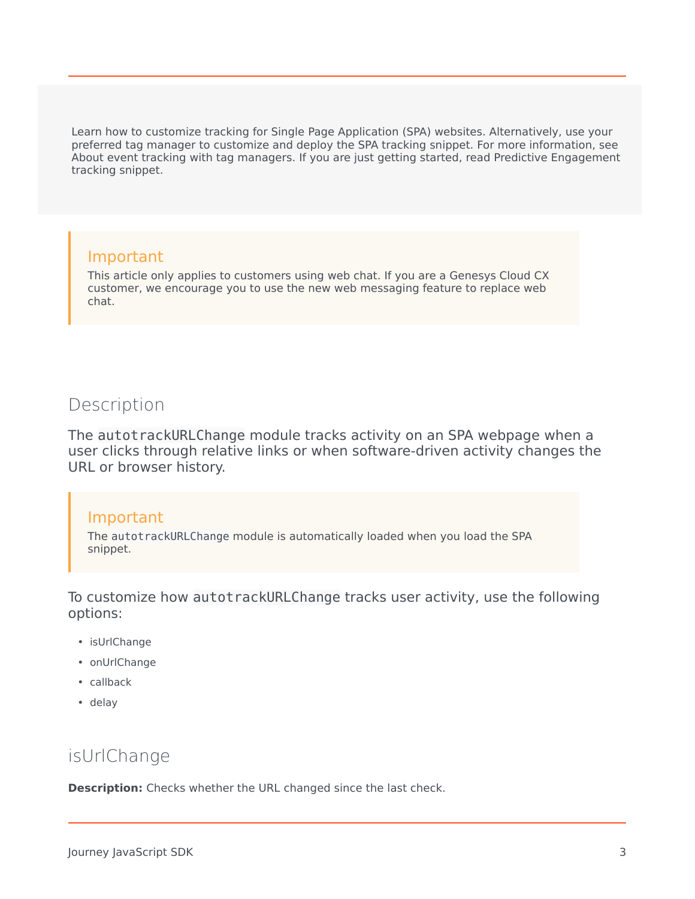Learn how to customize tracking for Single Page Application (SPA) websites. Alternatively, use your preferred tag manager to customize and deploy the SPA tracking snippet. For more information, see About event tracking with tag managers. If you are just getting started, read Predictive Engagement tracking snippet.

### Important

This article only applies to customers using web chat. If you are a Genesys Cloud CX customer, we encourage you to use the new web messaging feature to replace web chat.

## <span id="page-2-0"></span>**Description**

The autotrackURLChange module tracks activity on an SPA webpage when a user clicks through relative links or when software-driven activity changes the URL or browser history.

#### Important

The autotrackURLChange module is automatically loaded when you load the SPA snippet.

To customize how autotrackURLChange tracks user activity, use the following options:

- isUrlChange
- onUrlChange
- callback
- delay

## <span id="page-2-1"></span>isUrlChange

**Description:** Checks whether the URL changed since the last check.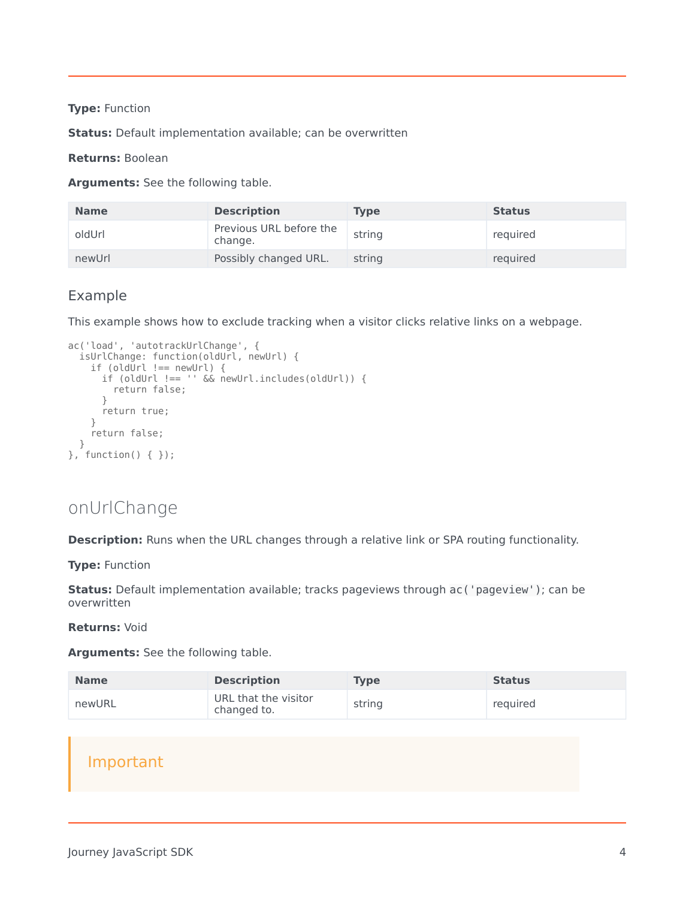#### **Type:** Function

**Status:** Default implementation available; can be overwritten

#### **Returns:** Boolean

**Arguments:** See the following table.

| <b>Name</b> | <b>Description</b>                 | Type   | <b>Status</b> |
|-------------|------------------------------------|--------|---------------|
| oldUrl      | Previous URL before the<br>change. | string | required      |
| newUrl      | Possibly changed URL.              | string | required      |

#### <span id="page-3-0"></span>Example

This example shows how to exclude tracking when a visitor clicks relative links on a webpage.

```
ac('load', 'autotrackUrlChange', {
  isUrlChange: function(oldUrl, newUrl) {
    if (oldUrl !== newUrl) {
      if (oldUrl !== '' && newUrl.includes(oldUrl)) {
        return false;
      }
      return true;
    }
    return false;
  }
}, function() { });
```
## <span id="page-3-1"></span>onUrlChange

**Description:** Runs when the URL changes through a relative link or SPA routing functionality.

**Type:** Function

**Status:** Default implementation available; tracks pageviews through ac('pageview'); can be overwritten

**Returns:** Void

**Arguments:** See the following table.

| <b>Name</b> | <b>Description</b>                  | <b>Type</b> | <b>Status</b> |
|-------------|-------------------------------------|-------------|---------------|
| newURL      | URL that the visitor<br>changed to. | string      | required      |

## Important